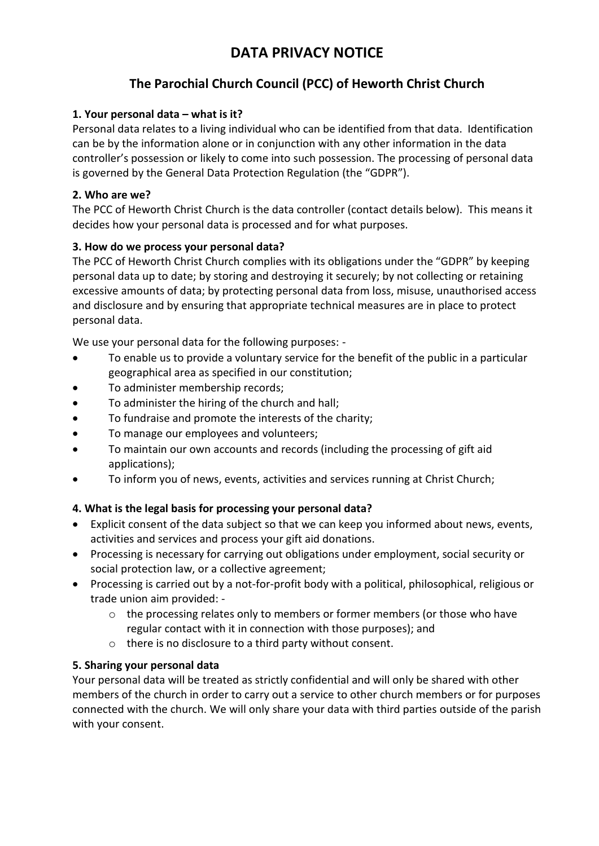# **DATA PRIVACY NOTICE**

# **The Parochial Church Council (PCC) of Heworth Christ Church**

# **1. Your personal data – what is it?**

Personal data relates to a living individual who can be identified from that data. Identification can be by the information alone or in conjunction with any other information in the data controller's possession or likely to come into such possession. The processing of personal data is governed by the General Data Protection Regulation (the "GDPR").

#### **2. Who are we?**

The PCC of Heworth Christ Church is the data controller (contact details below). This means it decides how your personal data is processed and for what purposes.

# **3. How do we process your personal data?**

The PCC of Heworth Christ Church complies with its obligations under the "GDPR" by keeping personal data up to date; by storing and destroying it securely; by not collecting or retaining excessive amounts of data; by protecting personal data from loss, misuse, unauthorised access and disclosure and by ensuring that appropriate technical measures are in place to protect personal data.

We use your personal data for the following purposes: -

- To enable us to provide a voluntary service for the benefit of the public in a particular geographical area as specified in our constitution;
- To administer membership records;
- To administer the hiring of the church and hall;
- To fundraise and promote the interests of the charity;
- To manage our employees and volunteers;
- To maintain our own accounts and records (including the processing of gift aid applications);
- To inform you of news, events, activities and services running at Christ Church;

#### **4. What is the legal basis for processing your personal data?**

- Explicit consent of the data subject so that we can keep you informed about news, events, activities and services and process your gift aid donations.
- Processing is necessary for carrying out obligations under employment, social security or social protection law, or a collective agreement;
- Processing is carried out by a not-for-profit body with a political, philosophical, religious or trade union aim provided: -
	- $\circ$  the processing relates only to members or former members (or those who have regular contact with it in connection with those purposes); and
	- o there is no disclosure to a third party without consent.

#### **5. Sharing your personal data**

Your personal data will be treated as strictly confidential and will only be shared with other members of the church in order to carry out a service to other church members or for purposes connected with the church. We will only share your data with third parties outside of the parish with your consent.